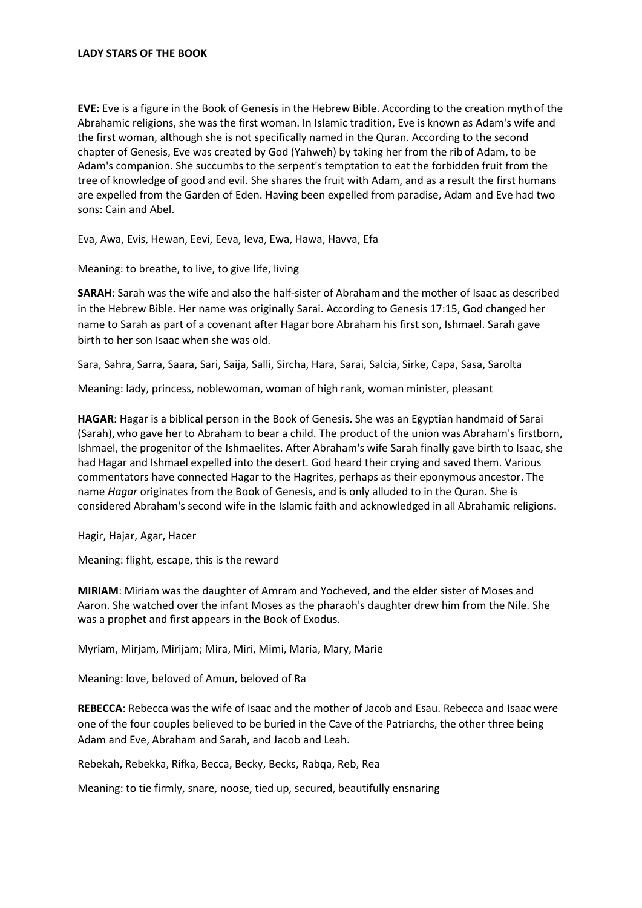**EVE:** Eve is a figure in the [Book of Genesis](https://en.wikipedia.org/wiki/Book_of_Genesis) in the [Hebrew Bible.](https://en.wikipedia.org/wiki/Hebrew_Bible) According to the [creation myth](https://en.wikipedia.org/wiki/Creation_myth) of the [Abrahamic religions,](https://en.wikipedia.org/wiki/Abrahamic_religions) she was the [first woman.](https://en.wikipedia.org/wiki/List_of_first_men_or_women_in_mythology_and_religion) I[n Islamic tradition,](https://en.wikipedia.org/wiki/Islamic_tradition) Eve is known as Adam's wife and the first woman, although she is not specifically named in th[e Quran.](https://en.wikipedia.org/wiki/Quran) According to the second chapter of Genesis, Eve was created b[y God](https://en.wikipedia.org/wiki/God_in_Abrahamic_religions) [\(Yahweh\)](https://en.wikipedia.org/wiki/Yahweh) by taking her from the ribof [Adam,](https://en.wikipedia.org/wiki/Adam) to be Adam's companion. She succumbs to th[e serpent'](https://en.wikipedia.org/wiki/Serpent_(symbolism))s temptation to eat th[e forbidden fruit](https://en.wikipedia.org/wiki/Forbidden_fruit) from the tree of [knowledge of good and evil.](https://en.wikipedia.org/wiki/Tree_of_the_knowledge_of_good_and_evil) She shares the fruit with Adam, and as a result the first humans are expelled from the [Garden of Eden.](https://en.wikipedia.org/wiki/Garden_of_Eden) Having been expelled from paradise, Adam and Eve had two sons: Cain and Abel.

Eva, Awa, Evis, Hewan, Eevi, Eeva, Ieva, Ewa, Hawa, Havva, Efa

Meaning: to breathe, to live, to give life, living

**SARAH**: Sarah was the wife and also the [half-sister](https://en.wikipedia.org/wiki/Sibling#Half-sibling) o[f Abrahama](https://en.wikipedia.org/wiki/Abraham)nd the mother o[f Isaac](https://en.wikipedia.org/wiki/Isaac) as described in the [Hebrew Bible.](https://en.wikipedia.org/wiki/Hebrew_Bible) Her name was originally Sarai. According t[o Genesis](https://en.wikipedia.org/wiki/Book_of_Genesis) 17:15, God changed her name to Sarah as part of a [covenant](https://en.wikipedia.org/wiki/Covenant_(biblical)) after [Hagar](https://en.wikipedia.org/wiki/Hagar) bore Abraham his first son, [Ishmael.](https://en.wikipedia.org/wiki/Ishmael) Sarah gave birth to her son Isaac when she was old.

Sara, Sahra, Sarra, Saara, Sari, Saija, Salli, Sircha, Hara, Sarai, Salcia, Sirke, Capa, Sasa, Sarolta

Meaning: lady, princess, noblewoman, woman of high rank, woman minister, pleasant

**HAGAR**: Hagar is a biblical person in th[e Book of Genesis.](https://en.wikipedia.org/wiki/Book_of_Genesis) She was an Egyptia[n handmaid](https://en.wikipedia.org/wiki/Handmaid) of [Sarai](https://en.wikipedia.org/wiki/Sarah) (Sarah),who gave her to [Abraham](https://en.wikipedia.org/wiki/Abraham) to bear a child. The product of the union was Abraham's firstborn, [Ishmael,](https://en.wikipedia.org/wiki/Ishmael) the progenitor of the [Ishmaelites.](https://en.wikipedia.org/wiki/Ishmaelites) After Abraham's wife [Sarah](https://www.behindthename.com/name/sarah) finally gave birth to Isaac, she had Hagar and Ishmael expelled into the desert. God heard their crying and saved them. Various commentators have connected Hagar to the [Hagrites,](https://en.wikipedia.org/wiki/Hagrite) perhaps as their eponymous ancestor. The name *Hagar* originates from the Book of Genesis, and is only alluded to in the [Quran.](https://en.wikipedia.org/wiki/Quran) She is considered Abraham's second wife in the [Islamic](https://en.wikipedia.org/wiki/Islamic) faith and acknowledged in all [Abrahamic religions.](https://en.wikipedia.org/wiki/Abrahamic_religions)

Hagir, Hajar, Agar, Hacer

Meaning: flight, escape, this is the reward

**MIRIAM**: Miriam was the daughter o[f Amram](https://en.wikipedia.org/wiki/Amram) and [Yocheved,](https://en.wikipedia.org/wiki/Jochebed) and the elder sister o[f Moses](https://www.behindthename.com/name/moses) and [Aaron.](https://www.behindthename.com/name/aaron) She watched over the infant Moses as the pharaoh's daughter drew him from the Nile. She was [a prophet](https://en.wikipedia.org/wiki/Prophet) and first appears in the [Book of Exodus.](https://en.wikipedia.org/wiki/Book_of_Exodus)

Myriam, Mirjam, Mirijam; [Mira,](https://en.wikipedia.org/wiki/Mira_(given_name)) Miri, Mimi, Maria, Mary, Marie

Meaning: love, beloved of Amun, beloved of Ra

**REBECCA**: Rebecca was the wife of [Isaac](https://en.wikipedia.org/wiki/Isaac) and the mother o[f Jacob](https://en.wikipedia.org/wiki/Jacob) and [Esau.](https://en.wikipedia.org/wiki/Esau) Rebecca and Isaac were one of the four couples believed to be buried in th[e Cave of the Patriarchs,](https://en.wikipedia.org/wiki/Cave_of_the_Patriarchs) the other three being [Adam](https://en.wikipedia.org/wiki/Adam) and [Eve,](https://en.wikipedia.org/wiki/Eve) [Abraham](https://en.wikipedia.org/wiki/Abraham) and [Sarah,](https://en.wikipedia.org/wiki/Sarah) an[d Jacob](https://en.wikipedia.org/wiki/Jacob) an[d Leah.](https://en.wikipedia.org/wiki/Leah)

Rebekah, Rebekka, Rifka, Becca, Becky, Becks, Rabqa, Reb, Rea

Meaning: to tie firmly, snare, noose, tied up, secured, beautifully ensnaring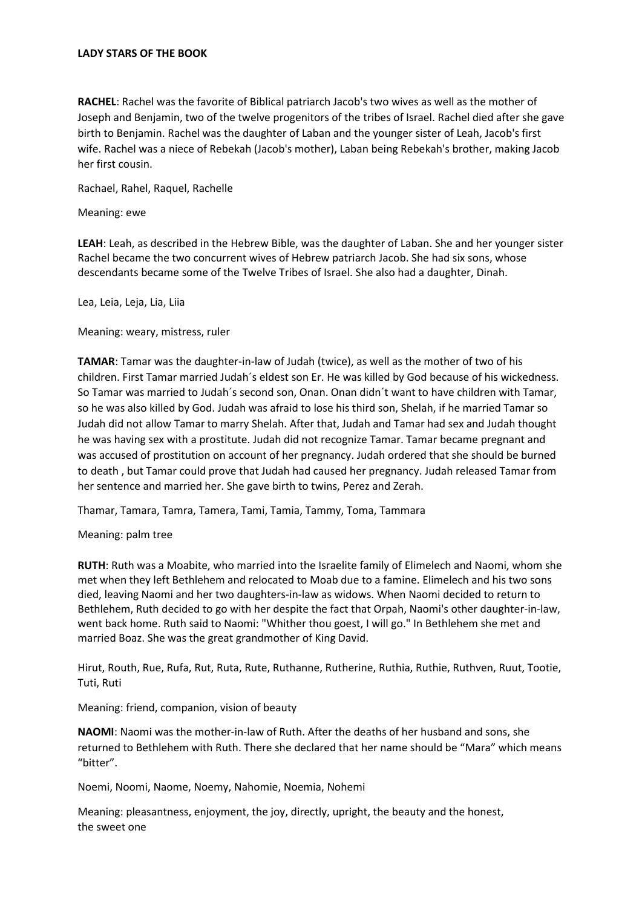## **LADY STARS OF THE BOOK**

**RACHEL**: Rachel was the favorite o[f Biblical patriarch](https://en.wikipedia.org/wiki/Biblical_patriarch) [Jacob'](https://en.wikipedia.org/wiki/Jacob)s two [wives](https://en.wikipedia.org/wiki/Wife) as well as the mother of [Joseph](https://en.wikipedia.org/wiki/Joseph_(Hebrew_Bible)) an[d Benjamin,](https://en.wikipedia.org/wiki/Benjamin) two of the twelve progenitors of the [tribes of Israel.](https://en.wikipedia.org/wiki/Tribes_of_Israel) Rachel died after she gave birth to Benjamin. Rachel was the daughter of [Laban](https://en.wikipedia.org/wiki/Laban_(Bible)) and the younger sister o[f Leah,](https://en.wikipedia.org/wiki/Leah) Jacob's first wife. Rachel was a niece of [Rebekah](https://en.wikipedia.org/wiki/Rebekah) (Jacob's mother), Laban being Rebekah's brother, making Jacob her first cousin.

Rachael, Rahel, Raquel, Rachelle

Meaning: ewe

**LEAH**: Leah, as described in the [Hebrew Bible,](https://en.wikipedia.org/wiki/Hebrew_Bible) was the daughter o[f Laban.](https://en.wikipedia.org/wiki/Laban_(Bible)) She and her younger sister [Rachel](https://en.wikipedia.org/wiki/Rachel) became th[e two concurrent wives](https://en.wikipedia.org/wiki/Polygamy#Judaism) of Hebrew patriarch [Jacob.](https://en.wikipedia.org/wiki/Jacob) She had six sons, whose descendants became some of th[e Twelve Tribes](https://en.wikipedia.org/wiki/Israelites#Biblical_Israel) of Israel. She also had a daughter, [Dinah.](https://en.wikipedia.org/wiki/Dinah)

Lea, Leia, Leja, Lia, Liia

Meaning: weary, mistress, ruler

**TAMAR**: Tamar was the daughter-in-law of Judah (twice), as well as the mother of two of his children. First Tamar married Judah´s eldest son Er. He was killed by God because of his wickedness. So Tamar was married to Judah´s second son, Onan. Onan didn´t want to have children with Tamar, so he was also killed by God. Judah was afraid to lose his third son, Shelah, if he married Tamar so Judah did not allow Tamar to marry Shelah. After that, Judah and Tamar had sex and Judah thought he was having sex with a prostitute. Judah did not recognize Tamar. Tamar became pregnant and was accused of prostitution on account of her pregnancy. Judah ordered that she should be [burned](https://en.wikipedia.org/wiki/Death_by_burning)  [to death](https://en.wikipedia.org/wiki/Death_by_burning) , but Tamar could prove that Judah had caused her pregnancy. Judah released Tamar from her sentence and married her. She gave birth to twins, Perez and Zerah.

Thamar, Tamara, Tamra, Tamera, Tami, Tamia, Tammy, Toma, Tammara

Meaning: palm tree

**RUTH**: Ruth was [a Moabite,](https://en.wikipedia.org/wiki/Moab) who married into the Israelite family of [Elimelech](https://en.wikipedia.org/wiki/Elimelech) and [Naomi,](https://en.wikipedia.org/wiki/Naomi_(Bible)) whom she met when they left Bethlehem and relocated to Moab due to a famine. Elimelech and his two sons died, leaving Naomi and her two daughters-in-law as widows. When Naomi decided to return to Bethlehem, Ruth decided to go with her despite the fact tha[t Orpah,](https://en.wikipedia.org/wiki/Orpah) Naomi's other daughter-in-law, went back home. Ruth said to Naomi: "Whither thou goest, I will go." In Bethlehem she met and married [Boaz.](https://www.behindthename.com/name/boaz) She was the great grandmother of King David.

Hirut, Routh, Rue, Rufa, Rut, Ruta, Rute, Ruthanne, Rutherine, Ruthia, Ruthie, Ruthven, Ruut, Tootie, Tuti, Ruti

Meaning: friend, companion, vision of beauty

**NAOMI**: Naomi was the mother-in-law of [Ruth.](https://www.behindthename.com/name/ruth-1) After the deaths of her husband and sons, she returned to Bethlehem with Ruth. There she declared that her name should be "[Mara](https://www.behindthename.com/name/mara-1)" which means "bitter".

Noemi, Noomi, Naome, Noemy, Nahomie, Noemia, Nohemi

Meaning: pleasantness, enjoyment, the joy, directly, upright, the beauty and the honest, the sweet one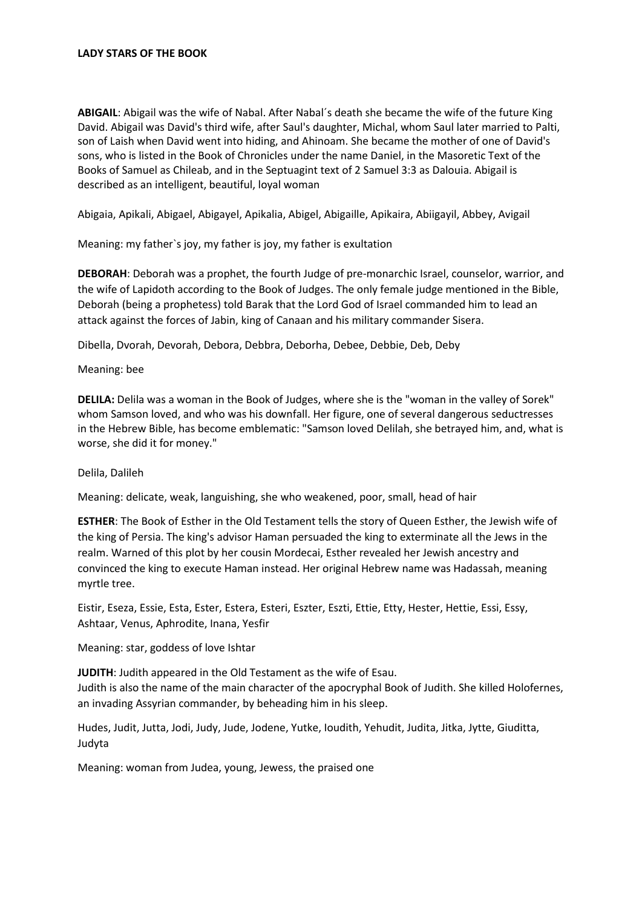## **LADY STARS OF THE BOOK**

**ABIGAIL**: Abigail was the wife of [Nabal.](https://en.wikipedia.org/wiki/Nabal) After Nabal´s death she became the wife of the future [King](https://en.wikipedia.org/wiki/David)  [David.](https://en.wikipedia.org/wiki/David) Abigail was David's third wife, after Saul's daughter, [Michal,](https://en.wikipedia.org/wiki/Michal) whom Saul later married t[o Palti,](https://en.wikipedia.org/wiki/Palti,_son_of_Laish)  [son of Laish](https://en.wikipedia.org/wiki/Palti,_son_of_Laish) when David went into hiding, and [Ahinoam.](https://en.wikipedia.org/wiki/Ahinoam) She became the mother of one of David's sons, who is listed in th[e Book of Chronicles](https://en.wikipedia.org/wiki/Book_of_Chronicles) under the nam[e Daniel,](https://en.wikipedia.org/wiki/Daniel_(son_of_David)) in th[e Masoretic Text](https://en.wikipedia.org/wiki/Masoretic_Text) of the Books of Samuel as Chileab, and in th[e Septuagint](https://en.wikipedia.org/wiki/Septuagint) text of 2 Samuel 3:3 as Dalouia. Abigail is described as an intelligent, beautiful, loyal woman

Abigaia, Apikali, Abigael, Abigayel, Apikalia, Abigel, Abigaille, Apikaira, Abiigayil, Abbey, Avigail

Meaning: my father`s joy, my father is joy, my father is exultation

**DEBORAH**: Deborah was a [prophet,](https://en.wikipedia.org/wiki/Prophet) the fourt[h Judge of pre-monarchic Israel,](https://en.wikipedia.org/wiki/Biblical_judges) counselor, warrior, and the wife of [Lapidoth](https://en.wikipedia.org/wiki/Lapidoth) according to the [Book of Judges.](https://en.wikipedia.org/wiki/Book_of_Judges) The only female judge mentioned in the [Bible,](https://en.wikipedia.org/wiki/Tanakh) Deborah (being a prophetess) told Barak that the Lord God of Israel commanded him to lead an [attack](https://en.wikipedia.org/wiki/Offensive_(military)) against the forces o[f Jabin,](https://en.wikipedia.org/wiki/Jabin) king of [Canaan](https://en.wikipedia.org/wiki/Canaan) and his military commande[r Sisera.](https://en.wikipedia.org/wiki/Sisera)

Dibella, Dvorah, Devorah, Debora, Debbra, Deborha, Debee, Debbie, Deb, Deby

Meaning: bee

**DELILA:** Delila was a woman in the [Book of Judges,](https://en.wikipedia.org/wiki/Book_of_Judges) where she is the "woman in the [valley of Sorek"](https://en.wikipedia.org/wiki/Valley_of_Sorek) who[m Samson](https://en.wikipedia.org/wiki/Samson) loved, and who was his downfall. Her figure, one of several dangerou[s seductresses](https://en.wikipedia.org/wiki/Seduction) in the [Hebrew Bible,](https://en.wikipedia.org/wiki/Hebrew_Bible) has become emblematic: "Samson loved Delilah, she betrayed him, and, what is worse, she did it for money."

## Delila, Dalileh

Meaning: delicate, weak, languishing, she who weakened, poor, small, head of hair

**ESTHER**: The Book of Esther in the Old Testament tells the story of Queen Esther, the Jewish wife of the king of Persia. The king's advisor Haman persuaded the king to exterminate all the Jews in the realm. Warned of this plot by her cousin Mordecai, Esther revealed her Jewish ancestry and convinced the king to execute Haman instead. Her original Hebrew name was Hadassah, meaning myrtle tree.

Eistir, Eseza, Essie, Esta, Ester, Estera, Esteri, Eszter, Eszti, Ettie, Etty, Hester, Hettie, Essi, Essy, Ashtaar, Venus, Aphrodite, Inana, Yesfir

Meaning: star, goddess of love Ishtar

**JUDITH**: Judith appeared in the Old Testament as the wife of Esau. Judith is also the name of the main character of the apocryphal Book of Judith. She killed Holofernes, an invading Assyrian commander, by beheading him in his sleep.

Hudes, Judit, Jutta, Jodi, Judy, Jude, Jodene, Yutke, Ioudith, Yehudit, Judita, Jitka, Jytte, Giuditta, Judyta

Meaning: woman from Judea, young, Jewess, the praised one